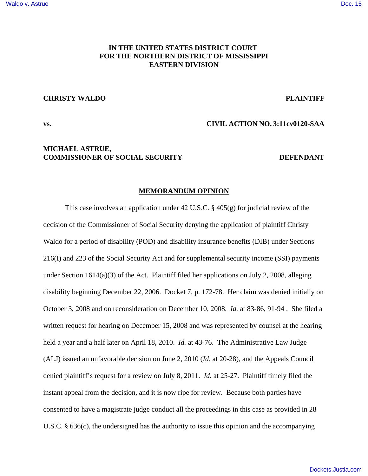# **IN THE UNITED STATES DISTRICT COURT FOR THE NORTHERN DISTRICT OF MISSISSIPPI EASTERN DIVISION**

### **CHRISTY WALDO** PLAINTIFF

## **vs. CIVIL ACTION NO. 3:11cv0120-SAA**

## **MICHAEL ASTRUE, COMMISSIONER OF SOCIAL SECURITY DEFENDANT**

## **MEMORANDUM OPINION**

This case involves an application under 42 U.S.C. § 405(g) for judicial review of the decision of the Commissioner of Social Security denying the application of plaintiff Christy Waldo for a period of disability (POD) and disability insurance benefits (DIB) under Sections 216(I) and 223 of the Social Security Act and for supplemental security income (SSI) payments under Section 1614(a)(3) of the Act. Plaintiff filed her applications on July 2, 2008, alleging disability beginning December 22, 2006. Docket 7, p. 172-78. Her claim was denied initially on October 3, 2008 and on reconsideration on December 10, 2008. *Id.* at 83-86, 91-94 . She filed a written request for hearing on December 15, 2008 and was represented by counsel at the hearing held a year and a half later on April 18, 2010. *Id.* at 43-76. The Administrative Law Judge (ALJ) issued an unfavorable decision on June 2, 2010 (*Id.* at 20-28), and the Appeals Council denied plaintiff's request for a review on July 8, 2011. *Id.* at 25-27. Plaintiff timely filed the instant appeal from the decision, and it is now ripe for review. Because both parties have consented to have a magistrate judge conduct all the proceedings in this case as provided in 28 U.S.C. § 636(c), the undersigned has the authority to issue this opinion and the accompanying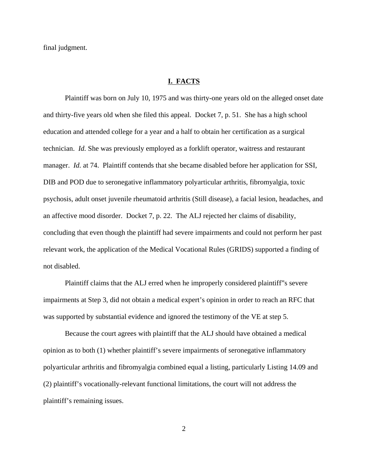final judgment.

## **I. FACTS**

Plaintiff was born on July 10, 1975 and was thirty-one years old on the alleged onset date and thirty-five years old when she filed this appeal. Docket 7, p. 51. She has a high school education and attended college for a year and a half to obtain her certification as a surgical technician. *Id.* She was previously employed as a forklift operator, waitress and restaurant manager. *Id.* at 74. Plaintiff contends that she became disabled before her application for SSI, DIB and POD due to seronegative inflammatory polyarticular arthritis, fibromyalgia, toxic psychosis, adult onset juvenile rheumatoid arthritis (Still disease), a facial lesion, headaches, and an affective mood disorder. Docket 7, p. 22. The ALJ rejected her claims of disability, concluding that even though the plaintiff had severe impairments and could not perform her past relevant work, the application of the Medical Vocational Rules (GRIDS) supported a finding of not disabled.

Plaintiff claims that the ALJ erred when he improperly considered plaintiff"s severe impairments at Step 3, did not obtain a medical expert's opinion in order to reach an RFC that was supported by substantial evidence and ignored the testimony of the VE at step 5.

Because the court agrees with plaintiff that the ALJ should have obtained a medical opinion as to both (1) whether plaintiff's severe impairments of seronegative inflammatory polyarticular arthritis and fibromyalgia combined equal a listing, particularly Listing 14.09 and (2) plaintiff's vocationally-relevant functional limitations, the court will not address the plaintiff's remaining issues.

2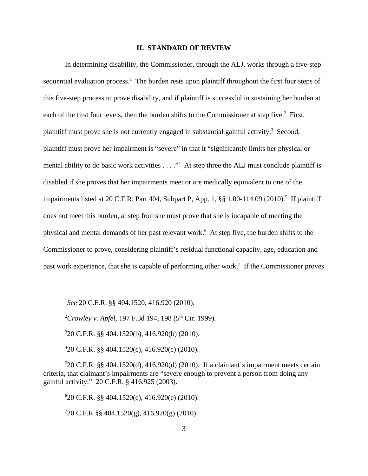## **II. STANDARD OF REVIEW**

In determining disability, the Commissioner, through the ALJ, works through a five-step sequential evaluation process.<sup>1</sup> The burden rests upon plaintiff throughout the first four steps of this five-step process to prove disability, and if plaintiff is successful in sustaining her burden at each of the first four levels, then the burden shifts to the Commissioner at step five.<sup>2</sup> First, plaintiff must prove she is not currently engaged in substantial gainful activity.<sup>3</sup> Second, plaintiff must prove her impairment is "severe" in that it "significantly limits her physical or mental ability to do basic work activities . . . ."<sup>4</sup> At step three the ALJ must conclude plaintiff is disabled if she proves that her impairments meet or are medically equivalent to one of the impairments listed at 20 C.F.R. Part 404, Subpart P, App. 1, §§ 1.00-114.09 (2010).<sup>5</sup> If plaintiff does not meet this burden, at step four she must prove that she is incapable of meeting the physical and mental demands of her past relevant work.<sup>6</sup> At step five, the burden shifts to the Commissioner to prove, considering plaintiff's residual functional capacity, age, education and past work experience, that she is capable of performing other work.<sup>7</sup> If the Commissioner proves

1 *See* 20 C.F.R. §§ 404.1520, 416.920 (2010).

<sup>2</sup>Crowley v. Apfel, 197 F.3d 194, 198 (5<sup>th</sup> Cir. 1999).

3 20 C.F.R. §§ 404.1520(b), 416.920(b) (2010).

4 20 C.F.R. §§ 404.1520(c), 416.920(c) (2010).

5 20 C.F.R. §§ 404.1520(d), 416.920(d) (2010). If a claimant's impairment meets certain criteria, that claimant's impairments are "severe enough to prevent a person from doing any gainful activity." 20 C.F.R. § 416.925 (2003).

6 20 C.F.R. §§ 404.1520(e), 416.920(e) (2010).

7 20 C.F.R §§ 404.1520(g), 416.920(g) (2010).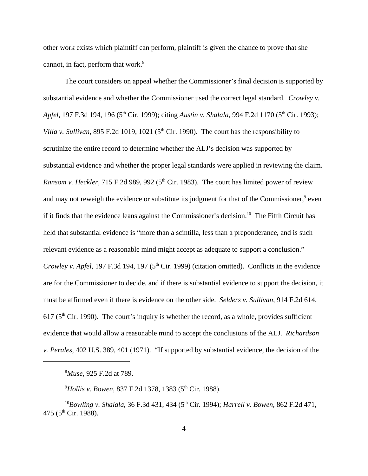other work exists which plaintiff can perform, plaintiff is given the chance to prove that she cannot, in fact, perform that work. $8$ 

The court considers on appeal whether the Commissioner's final decision is supported by substantial evidence and whether the Commissioner used the correct legal standard. *Crowley v.* Apfel, 197 F.3d 194, 196 (5<sup>th</sup> Cir. 1999); citing *Austin v. Shalala*, 994 F.2d 1170 (5<sup>th</sup> Cir. 1993); *Villa v. Sullivan,* 895 F.2d 1019, 1021 ( $5<sup>th</sup>$  Cir. 1990). The court has the responsibility to scrutinize the entire record to determine whether the ALJ's decision was supported by substantial evidence and whether the proper legal standards were applied in reviewing the claim. *Ransom v. Heckler*, 715 F.2d 989, 992 (5<sup>th</sup> Cir. 1983). The court has limited power of review and may not reweigh the evidence or substitute its judgment for that of the Commissioner,<sup>9</sup> even if it finds that the evidence leans against the Commissioner's decision.<sup>10</sup> The Fifth Circuit has held that substantial evidence is "more than a scintilla, less than a preponderance, and is such relevant evidence as a reasonable mind might accept as adequate to support a conclusion." *Crowley v. Apfel*, 197 F.3d 194, 197 (5<sup>th</sup> Cir. 1999) (citation omitted). Conflicts in the evidence are for the Commissioner to decide, and if there is substantial evidence to support the decision, it must be affirmed even if there is evidence on the other side. *Selders v. Sullivan*, 914 F.2d 614,  $617$  ( $5<sup>th</sup>$  Cir. 1990). The court's inquiry is whether the record, as a whole, provides sufficient evidence that would allow a reasonable mind to accept the conclusions of the ALJ. *Richardson v. Perales*, 402 U.S. 389, 401 (1971). "If supported by substantial evidence, the decision of the

<sup>8</sup>*Muse*, 925 F.2d at 789.

<sup>9</sup>Hollis v. Bowen, 837 F.2d 1378, 1383 (5<sup>th</sup> Cir. 1988).

<sup>10</sup>Bowling v. Shalala, 36 F.3d 431, 434 (5<sup>th</sup> Cir. 1994); *Harrell v. Bowen*, 862 F.2d 471, 475 ( $5^{\text{th}}$  Cir. 1988).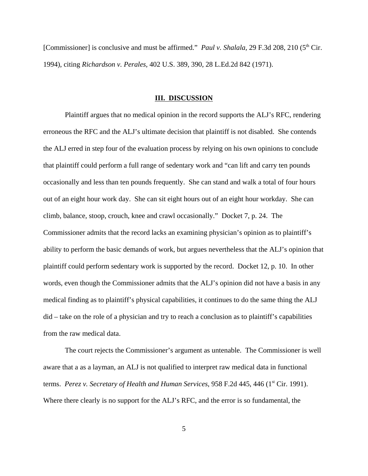[Commissioner] is conclusive and must be affirmed." *Paul v. Shalala*, 29 F.3d 208, 210 (5<sup>th</sup> Cir. 1994), citing *Richardson v. Perales,* 402 U.S. 389, 390, 28 L.Ed.2d 842 (1971).

#### **III. DISCUSSION**

Plaintiff argues that no medical opinion in the record supports the ALJ's RFC, rendering erroneous the RFC and the ALJ's ultimate decision that plaintiff is not disabled. She contends the ALJ erred in step four of the evaluation process by relying on his own opinions to conclude that plaintiff could perform a full range of sedentary work and "can lift and carry ten pounds occasionally and less than ten pounds frequently. She can stand and walk a total of four hours out of an eight hour work day. She can sit eight hours out of an eight hour workday. She can climb, balance, stoop, crouch, knee and crawl occasionally." Docket 7, p. 24. The Commissioner admits that the record lacks an examining physician's opinion as to plaintiff's ability to perform the basic demands of work, but argues nevertheless that the ALJ's opinion that plaintiff could perform sedentary work is supported by the record. Docket 12, p. 10. In other words, even though the Commissioner admits that the ALJ's opinion did not have a basis in any medical finding as to plaintiff's physical capabilities, it continues to do the same thing the ALJ did – take on the role of a physician and try to reach a conclusion as to plaintiff's capabilities from the raw medical data.

The court rejects the Commissioner's argument as untenable. The Commissioner is well aware that a as a layman, an ALJ is not qualified to interpret raw medical data in functional terms. *Perez v. Secretary of Health and Human Services*, 958 F.2d 445, 446 (1<sup>st</sup> Cir. 1991). Where there clearly is no support for the ALJ's RFC, and the error is so fundamental, the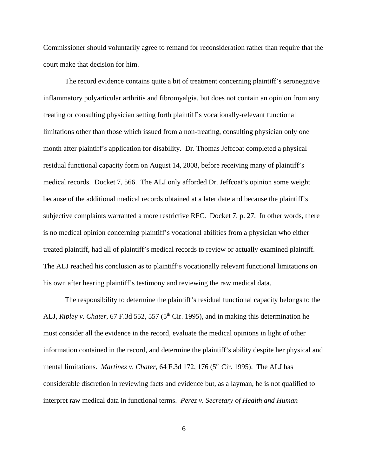Commissioner should voluntarily agree to remand for reconsideration rather than require that the court make that decision for him.

The record evidence contains quite a bit of treatment concerning plaintiff's seronegative inflammatory polyarticular arthritis and fibromyalgia, but does not contain an opinion from any treating or consulting physician setting forth plaintiff's vocationally-relevant functional limitations other than those which issued from a non-treating, consulting physician only one month after plaintiff's application for disability. Dr. Thomas Jeffcoat completed a physical residual functional capacity form on August 14, 2008, before receiving many of plaintiff's medical records. Docket 7, 566. The ALJ only afforded Dr. Jeffcoat's opinion some weight because of the additional medical records obtained at a later date and because the plaintiff's subjective complaints warranted a more restrictive RFC. Docket 7, p. 27. In other words, there is no medical opinion concerning plaintiff's vocational abilities from a physician who either treated plaintiff, had all of plaintiff's medical records to review or actually examined plaintiff. The ALJ reached his conclusion as to plaintiff's vocationally relevant functional limitations on his own after hearing plaintiff's testimony and reviewing the raw medical data.

The responsibility to determine the plaintiff's residual functional capacity belongs to the ALJ, *Ripley v. Chater*, 67 F.3d 552, 557 (5<sup>th</sup> Cir. 1995), and in making this determination he must consider all the evidence in the record, evaluate the medical opinions in light of other information contained in the record, and determine the plaintiff's ability despite her physical and mental limitations. *Martinez v. Chater*, 64 F.3d 172, 176 (5<sup>th</sup> Cir. 1995). The ALJ has considerable discretion in reviewing facts and evidence but, as a layman, he is not qualified to interpret raw medical data in functional terms. *Perez v. Secretary of Health and Human*

6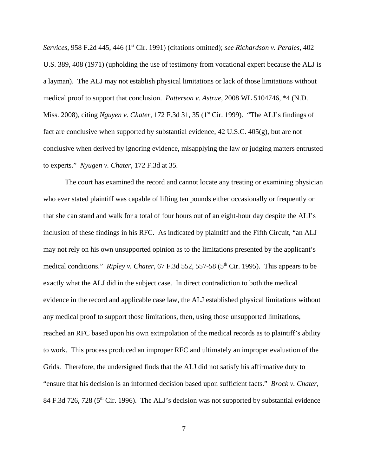*Services*, 958 F.2d 445, 446 (1<sup>st</sup> Cir. 1991) (citations omitted); *see Richardson v. Perales*, 402 U.S. 389, 408 (1971) (upholding the use of testimony from vocational expert because the ALJ is a layman). The ALJ may not establish physical limitations or lack of those limitations without medical proof to support that conclusion. *Patterson v. Astrue*, 2008 WL 5104746, \*4 (N.D. Miss. 2008), citing *Nguyen v. Chater*, 172 F.3d 31, 35 (1st Cir. 1999). "The ALJ's findings of fact are conclusive when supported by substantial evidence, 42 U.S.C. 405(g), but are not conclusive when derived by ignoring evidence, misapplying the law or judging matters entrusted to experts." *Nyugen v. Chater*, 172 F.3d at 35.

The court has examined the record and cannot locate any treating or examining physician who ever stated plaintiff was capable of lifting ten pounds either occasionally or frequently or that she can stand and walk for a total of four hours out of an eight-hour day despite the ALJ's inclusion of these findings in his RFC. As indicated by plaintiff and the Fifth Circuit, "an ALJ may not rely on his own unsupported opinion as to the limitations presented by the applicant's medical conditions." *Ripley v. Chater*, 67 F.3d 552, 557-58 (5<sup>th</sup> Cir. 1995). This appears to be exactly what the ALJ did in the subject case. In direct contradiction to both the medical evidence in the record and applicable case law, the ALJ established physical limitations without any medical proof to support those limitations, then, using those unsupported limitations, reached an RFC based upon his own extrapolation of the medical records as to plaintiff's ability to work. This process produced an improper RFC and ultimately an improper evaluation of the Grids. Therefore, the undersigned finds that the ALJ did not satisfy his affirmative duty to "ensure that his decision is an informed decision based upon sufficient facts." *Brock v. Chater*, 84 F.3d 726, 728 ( $5<sup>th</sup>$  Cir. 1996). The ALJ's decision was not supported by substantial evidence